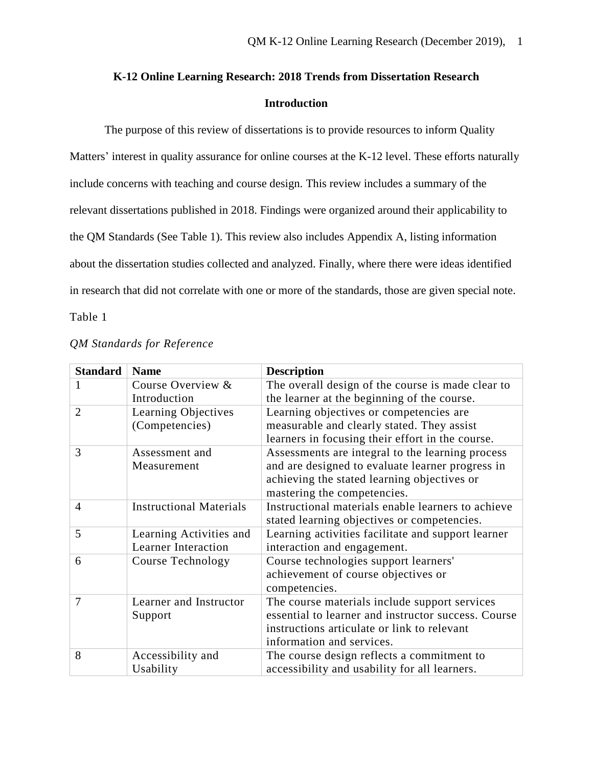# **K-12 Online Learning Research: 2018 Trends from Dissertation Research Introduction**

The purpose of this review of dissertations is to provide resources to inform Quality Matters' interest in quality assurance for online courses at the K-12 level. These efforts naturally include concerns with teaching and course design. This review includes a summary of the relevant dissertations published in 2018. Findings were organized around their applicability to the QM Standards (See Table 1). This review also includes Appendix A, listing information about the dissertation studies collected and analyzed. Finally, where there were ideas identified in research that did not correlate with one or more of the standards, those are given special note. Table 1

| <b>Standard</b> | <b>Name</b>                    | <b>Description</b>                                  |
|-----------------|--------------------------------|-----------------------------------------------------|
| 1               | Course Overview &              | The overall design of the course is made clear to   |
|                 | Introduction                   | the learner at the beginning of the course.         |
| $\overline{2}$  | Learning Objectives            | Learning objectives or competencies are             |
|                 | (Competencies)                 | measurable and clearly stated. They assist          |
|                 |                                | learners in focusing their effort in the course.    |
| 3               | Assessment and                 | Assessments are integral to the learning process    |
|                 | Measurement                    | and are designed to evaluate learner progress in    |
|                 |                                | achieving the stated learning objectives or         |
|                 |                                | mastering the competencies.                         |
| $\overline{4}$  | <b>Instructional Materials</b> | Instructional materials enable learners to achieve  |
|                 |                                | stated learning objectives or competencies.         |
| 5               | Learning Activities and        | Learning activities facilitate and support learner  |
|                 | <b>Learner Interaction</b>     | interaction and engagement.                         |
| 6               | Course Technology              | Course technologies support learners'               |
|                 |                                | achievement of course objectives or                 |
|                 |                                | competencies.                                       |
| 7               | Learner and Instructor         | The course materials include support services       |
|                 | Support                        | essential to learner and instructor success. Course |
|                 |                                | instructions articulate or link to relevant         |
|                 |                                | information and services.                           |
| 8               | Accessibility and              | The course design reflects a commitment to          |
|                 | Usability                      | accessibility and usability for all learners.       |

## *QM Standards for Reference*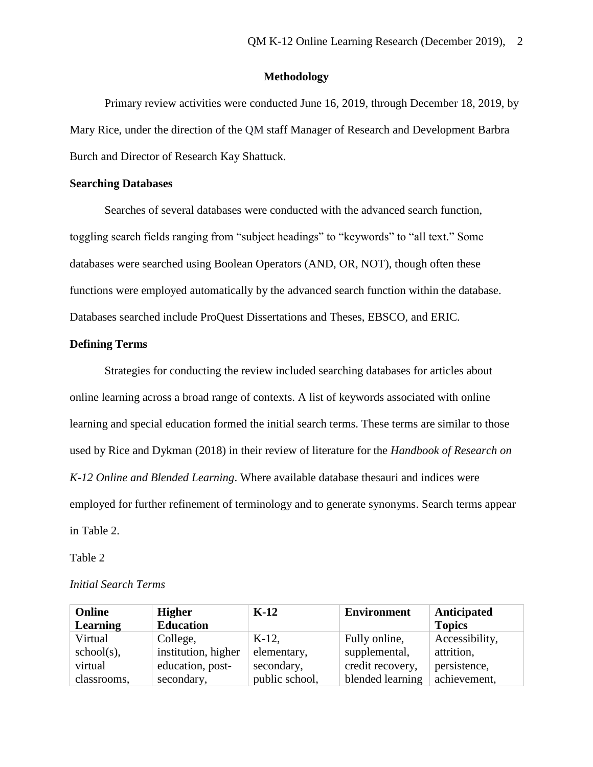## **Methodology**

Primary review activities were conducted June 16, 2019, through December 18, 2019, by Mary Rice, under the direction of the QM staff Manager of Research and Development Barbra Burch and Director of Research Kay Shattuck.

## **Searching Databases**

Searches of several databases were conducted with the advanced search function, toggling search fields ranging from "subject headings" to "keywords" to "all text." Some databases were searched using Boolean Operators (AND, OR, NOT), though often these functions were employed automatically by the advanced search function within the database. Databases searched include ProQuest Dissertations and Theses, EBSCO, and ERIC.

#### **Defining Terms**

Strategies for conducting the review included searching databases for articles about online learning across a broad range of contexts. A list of keywords associated with online learning and special education formed the initial search terms. These terms are similar to those used by Rice and Dykman (2018) in their review of literature for the *Handbook of Research on K-12 Online and Blended Learning*. Where available database thesauri and indices were employed for further refinement of terminology and to generate synonyms. Search terms appear in Table 2.

#### Table 2

## *Initial Search Terms*

| Online          | <b>Higher</b>       | $K-12$         | <b>Environment</b> | Anticipated    |
|-----------------|---------------------|----------------|--------------------|----------------|
| <b>Learning</b> | <b>Education</b>    |                |                    | <b>Topics</b>  |
| Virtual         | College,            | $K-12$         | Fully online,      | Accessibility, |
| $school(s)$ ,   | institution, higher | elementary,    | supplemental,      | attrition,     |
| virtual         | education, post-    | secondary,     | credit recovery,   | persistence,   |
| classrooms,     | secondary,          | public school, | blended learning   | achievement,   |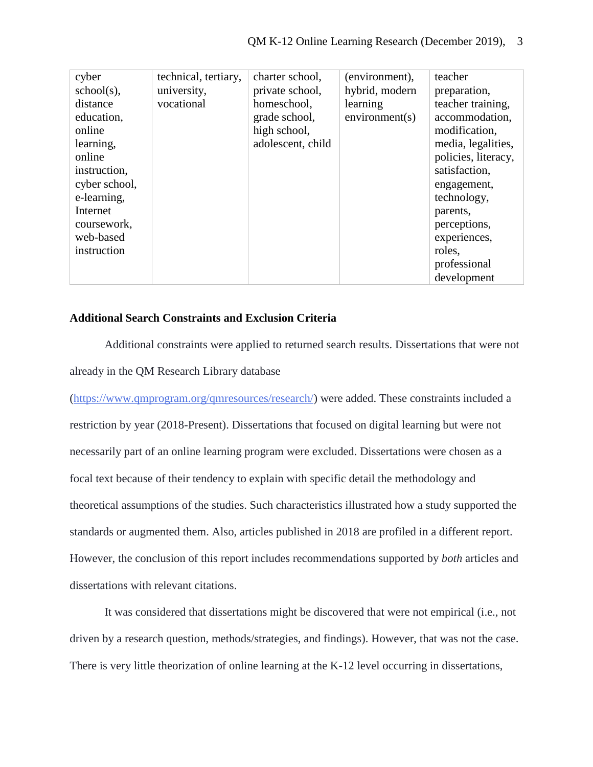| cyber         | technical, tertiary, | charter school,   | (environment), | teacher             |
|---------------|----------------------|-------------------|----------------|---------------------|
| $school(s)$ , | university,          | private school,   | hybrid, modern | preparation,        |
| distance      | vocational           | homeschool,       | learning       | teacher training,   |
| education,    |                      | grade school,     | environment(s) | accommodation,      |
| online        |                      | high school,      |                | modification,       |
| learning,     |                      | adolescent, child |                | media, legalities,  |
| online        |                      |                   |                | policies, literacy, |
| instruction,  |                      |                   |                | satisfaction,       |
| cyber school, |                      |                   |                | engagement,         |
| e-learning,   |                      |                   |                | technology,         |
| Internet      |                      |                   |                | parents,            |
| coursework,   |                      |                   |                | perceptions,        |
| web-based     |                      |                   |                | experiences,        |
| instruction   |                      |                   |                | roles,              |
|               |                      |                   |                | professional        |
|               |                      |                   |                | development         |

## **Additional Search Constraints and Exclusion Criteria**

Additional constraints were applied to returned search results. Dissertations that were not already in the QM Research Library database

[\(https://www.qmprogram.org/qmresources/research/\)](https://www.qmprogram.org/qmresources/research/) were added. These constraints included a restriction by year (2018-Present). Dissertations that focused on digital learning but were not necessarily part of an online learning program were excluded. Dissertations were chosen as a focal text because of their tendency to explain with specific detail the methodology and theoretical assumptions of the studies. Such characteristics illustrated how a study supported the standards or augmented them. Also, articles published in 2018 are profiled in a different report. However, the conclusion of this report includes recommendations supported by *both* articles and dissertations with relevant citations.

It was considered that dissertations might be discovered that were not empirical (i.e., not driven by a research question, methods/strategies, and findings). However, that was not the case. There is very little theorization of online learning at the K-12 level occurring in dissertations,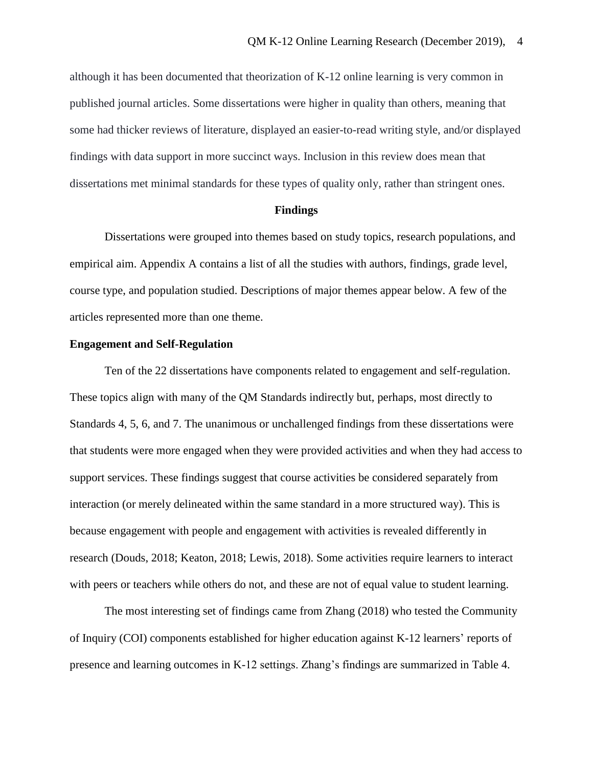although it has been documented that theorization of K-12 online learning is very common in published journal articles. Some dissertations were higher in quality than others, meaning that some had thicker reviews of literature, displayed an easier-to-read writing style, and/or displayed findings with data support in more succinct ways. Inclusion in this review does mean that dissertations met minimal standards for these types of quality only, rather than stringent ones.

#### **Findings**

Dissertations were grouped into themes based on study topics, research populations, and empirical aim. Appendix A contains a list of all the studies with authors, findings, grade level, course type, and population studied. Descriptions of major themes appear below. A few of the articles represented more than one theme.

#### **Engagement and Self-Regulation**

Ten of the 22 dissertations have components related to engagement and self-regulation. These topics align with many of the QM Standards indirectly but, perhaps, most directly to Standards 4, 5, 6, and 7. The unanimous or unchallenged findings from these dissertations were that students were more engaged when they were provided activities and when they had access to support services. These findings suggest that course activities be considered separately from interaction (or merely delineated within the same standard in a more structured way). This is because engagement with people and engagement with activities is revealed differently in research (Douds, 2018; Keaton, 2018; Lewis, 2018). Some activities require learners to interact with peers or teachers while others do not, and these are not of equal value to student learning.

The most interesting set of findings came from Zhang (2018) who tested the Community of Inquiry (COI) components established for higher education against K-12 learners' reports of presence and learning outcomes in K-12 settings. Zhang's findings are summarized in Table 4.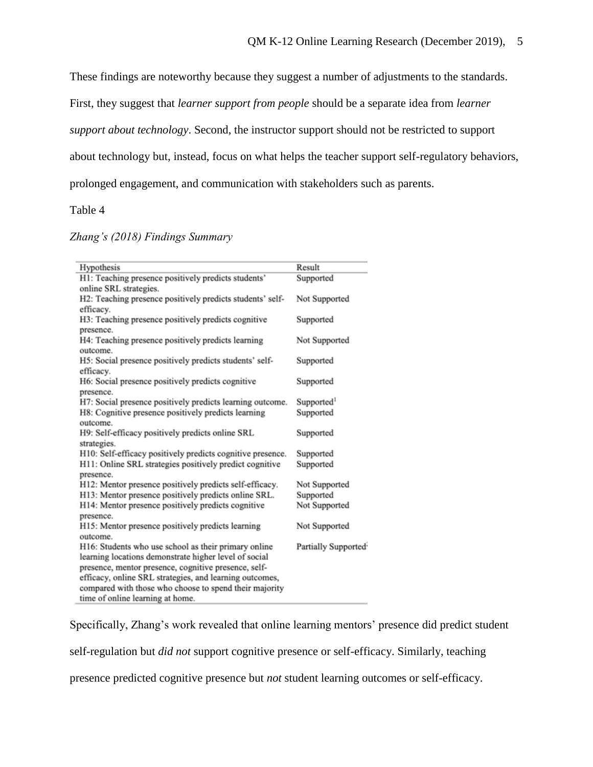These findings are noteworthy because they suggest a number of adjustments to the standards.

First, they suggest that *learner support from people* should be a separate idea from *learner* 

*support about technology*. Second, the instructor support should not be restricted to support

about technology but, instead, focus on what helps the teacher support self-regulatory behaviors,

prolonged engagement, and communication with stakeholders such as parents.

Table 4

| Zhang's (2018) Findings Summary |  |  |
|---------------------------------|--|--|
|                                 |  |  |

| Hypothesis                                                 | Result                 |
|------------------------------------------------------------|------------------------|
| H1: Teaching presence positively predicts students'        | Supported              |
| online SRL strategies.                                     |                        |
| H2: Teaching presence positively predicts students' self-  | Not Supported          |
| efficacy.                                                  |                        |
| H3: Teaching presence positively predicts cognitive        | Supported              |
| presence.                                                  |                        |
| H4: Teaching presence positively predicts learning         | Not Supported          |
| outcome.                                                   |                        |
| H5: Social presence positively predicts students' self-    | Supported              |
| efficacy.                                                  |                        |
| H6: Social presence positively predicts cognitive          | Supported              |
| presence.                                                  |                        |
| H7: Social presence positively predicts learning outcome.  | Supported <sup>1</sup> |
| H8: Cognitive presence positively predicts learning        | Supported              |
| outcome.                                                   |                        |
| H9: Self-efficacy positively predicts online SRL           | Supported              |
| strategies.                                                |                        |
| H10: Self-efficacy positively predicts cognitive presence. | Supported              |
| H11: Online SRL strategies positively predict cognitive    | Supported              |
| presence.                                                  |                        |
| H12: Mentor presence positively predicts self-efficacy.    | Not Supported          |
| H13: Mentor presence positively predicts online SRL.       | Supported              |
| H14: Mentor presence positively predicts cognitive         | Not Supported          |
| presence.                                                  |                        |
| H15: Mentor presence positively predicts learning          | Not Supported          |
| outcome.                                                   |                        |
| H16: Students who use school as their primary online       | Partially Supported    |
| learning locations demonstrate higher level of social      |                        |
| presence, mentor presence, cognitive presence, self-       |                        |
| efficacy, online SRL strategies, and learning outcomes,    |                        |
| compared with those who choose to spend their majority     |                        |
| time of online learning at home                            |                        |

Specifically, Zhang's work revealed that online learning mentors' presence did predict student

self-regulation but *did not* support cognitive presence or self-efficacy. Similarly, teaching

presence predicted cognitive presence but *not* student learning outcomes or self-efficacy.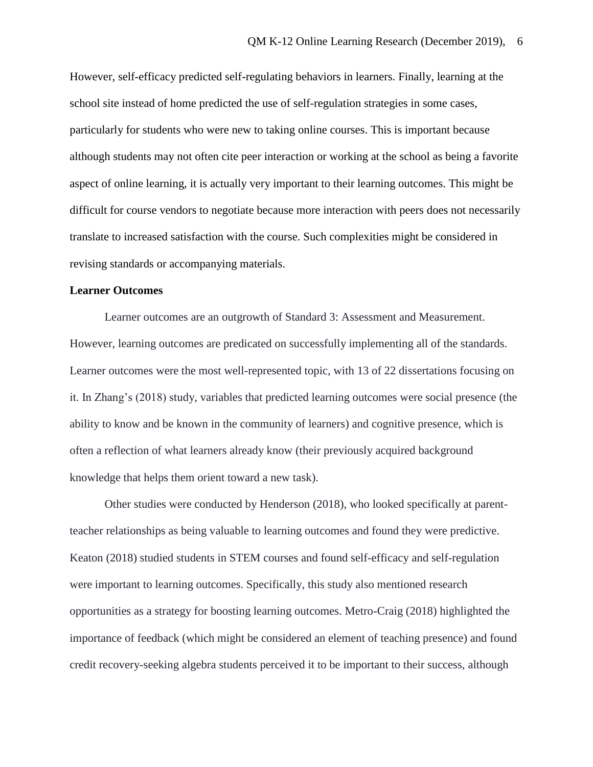However, self-efficacy predicted self-regulating behaviors in learners. Finally, learning at the school site instead of home predicted the use of self-regulation strategies in some cases, particularly for students who were new to taking online courses. This is important because although students may not often cite peer interaction or working at the school as being a favorite aspect of online learning, it is actually very important to their learning outcomes. This might be difficult for course vendors to negotiate because more interaction with peers does not necessarily translate to increased satisfaction with the course. Such complexities might be considered in revising standards or accompanying materials.

#### **Learner Outcomes**

Learner outcomes are an outgrowth of Standard 3: Assessment and Measurement. However, learning outcomes are predicated on successfully implementing all of the standards. Learner outcomes were the most well-represented topic, with 13 of 22 dissertations focusing on it. In Zhang's (2018) study, variables that predicted learning outcomes were social presence (the ability to know and be known in the community of learners) and cognitive presence, which is often a reflection of what learners already know (their previously acquired background knowledge that helps them orient toward a new task).

Other studies were conducted by Henderson (2018), who looked specifically at parentteacher relationships as being valuable to learning outcomes and found they were predictive. Keaton (2018) studied students in STEM courses and found self-efficacy and self-regulation were important to learning outcomes. Specifically, this study also mentioned research opportunities as a strategy for boosting learning outcomes. Metro-Craig (2018) highlighted the importance of feedback (which might be considered an element of teaching presence) and found credit recovery-seeking algebra students perceived it to be important to their success, although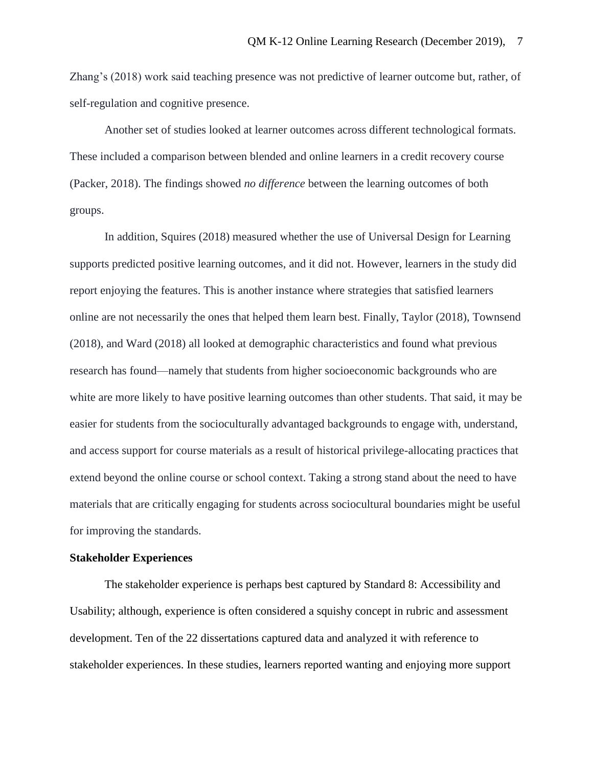Zhang's (2018) work said teaching presence was not predictive of learner outcome but, rather, of self-regulation and cognitive presence.

Another set of studies looked at learner outcomes across different technological formats. These included a comparison between blended and online learners in a credit recovery course (Packer, 2018). The findings showed *no difference* between the learning outcomes of both groups.

In addition, Squires (2018) measured whether the use of Universal Design for Learning supports predicted positive learning outcomes, and it did not. However, learners in the study did report enjoying the features. This is another instance where strategies that satisfied learners online are not necessarily the ones that helped them learn best. Finally, Taylor (2018), Townsend (2018), and Ward (2018) all looked at demographic characteristics and found what previous research has found—namely that students from higher socioeconomic backgrounds who are white are more likely to have positive learning outcomes than other students. That said, it may be easier for students from the socioculturally advantaged backgrounds to engage with, understand, and access support for course materials as a result of historical privilege-allocating practices that extend beyond the online course or school context. Taking a strong stand about the need to have materials that are critically engaging for students across sociocultural boundaries might be useful for improving the standards.

#### **Stakeholder Experiences**

The stakeholder experience is perhaps best captured by Standard 8: Accessibility and Usability; although, experience is often considered a squishy concept in rubric and assessment development. Ten of the 22 dissertations captured data and analyzed it with reference to stakeholder experiences. In these studies, learners reported wanting and enjoying more support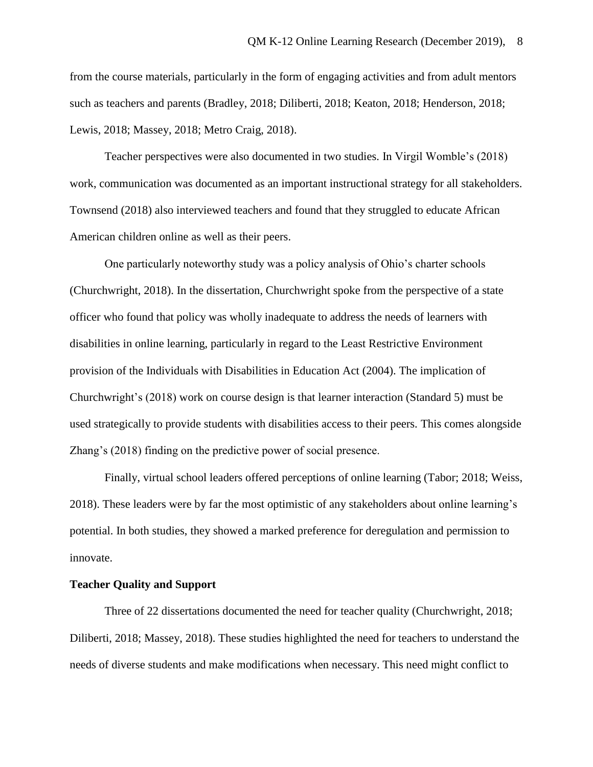from the course materials, particularly in the form of engaging activities and from adult mentors such as teachers and parents (Bradley, 2018; Diliberti, 2018; Keaton, 2018; Henderson, 2018; Lewis, 2018; Massey, 2018; Metro Craig, 2018).

Teacher perspectives were also documented in two studies. In Virgil Womble's (2018) work, communication was documented as an important instructional strategy for all stakeholders. Townsend (2018) also interviewed teachers and found that they struggled to educate African American children online as well as their peers.

One particularly noteworthy study was a policy analysis of Ohio's charter schools (Churchwright, 2018). In the dissertation, Churchwright spoke from the perspective of a state officer who found that policy was wholly inadequate to address the needs of learners with disabilities in online learning, particularly in regard to the Least Restrictive Environment provision of the Individuals with Disabilities in Education Act (2004). The implication of Churchwright's (2018) work on course design is that learner interaction (Standard 5) must be used strategically to provide students with disabilities access to their peers. This comes alongside Zhang's (2018) finding on the predictive power of social presence.

Finally, virtual school leaders offered perceptions of online learning (Tabor; 2018; Weiss, 2018). These leaders were by far the most optimistic of any stakeholders about online learning's potential. In both studies, they showed a marked preference for deregulation and permission to innovate.

## **Teacher Quality and Support**

Three of 22 dissertations documented the need for teacher quality (Churchwright, 2018; Diliberti, 2018; Massey, 2018). These studies highlighted the need for teachers to understand the needs of diverse students and make modifications when necessary. This need might conflict to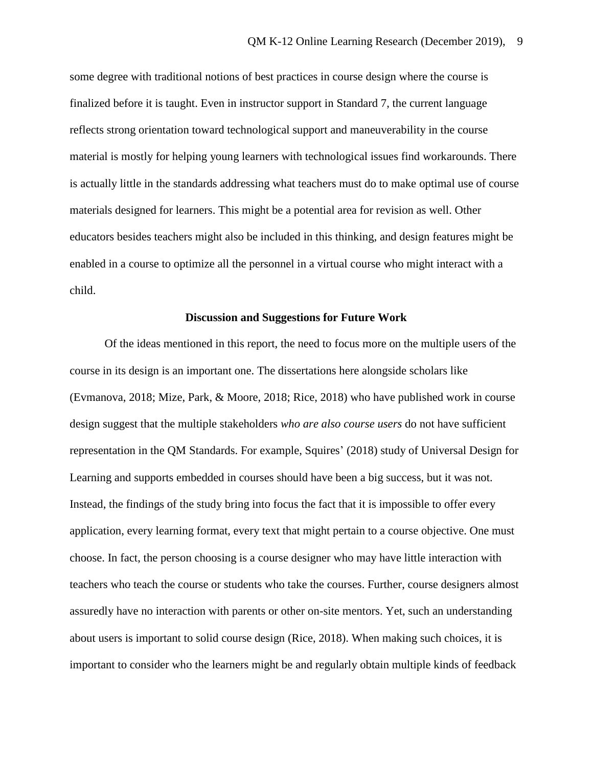some degree with traditional notions of best practices in course design where the course is finalized before it is taught. Even in instructor support in Standard 7, the current language reflects strong orientation toward technological support and maneuverability in the course material is mostly for helping young learners with technological issues find workarounds. There is actually little in the standards addressing what teachers must do to make optimal use of course materials designed for learners. This might be a potential area for revision as well. Other educators besides teachers might also be included in this thinking, and design features might be enabled in a course to optimize all the personnel in a virtual course who might interact with a child.

#### **Discussion and Suggestions for Future Work**

Of the ideas mentioned in this report, the need to focus more on the multiple users of the course in its design is an important one. The dissertations here alongside scholars like (Evmanova, 2018; Mize, Park, & Moore, 2018; Rice, 2018) who have published work in course design suggest that the multiple stakeholders *who are also course users* do not have sufficient representation in the QM Standards. For example, Squires' (2018) study of Universal Design for Learning and supports embedded in courses should have been a big success, but it was not. Instead, the findings of the study bring into focus the fact that it is impossible to offer every application, every learning format, every text that might pertain to a course objective. One must choose. In fact, the person choosing is a course designer who may have little interaction with teachers who teach the course or students who take the courses. Further, course designers almost assuredly have no interaction with parents or other on-site mentors. Yet, such an understanding about users is important to solid course design (Rice, 2018). When making such choices, it is important to consider who the learners might be and regularly obtain multiple kinds of feedback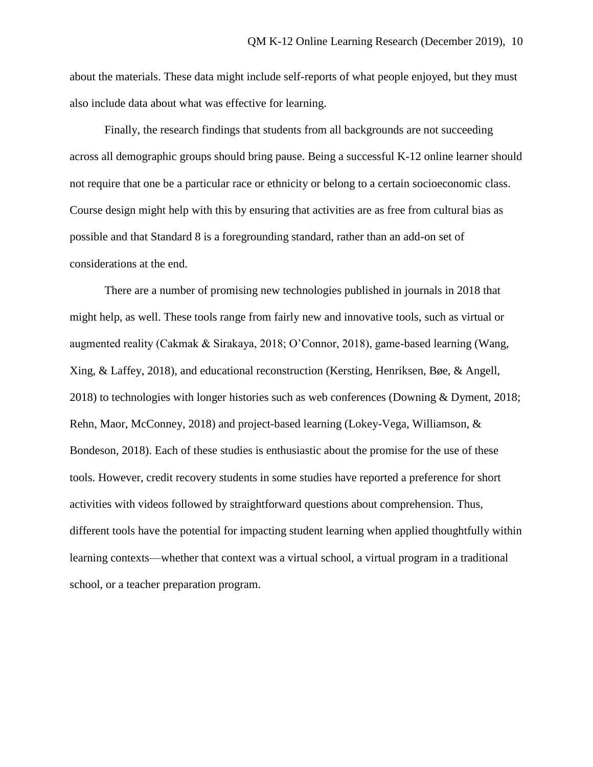about the materials. These data might include self-reports of what people enjoyed, but they must also include data about what was effective for learning.

Finally, the research findings that students from all backgrounds are not succeeding across all demographic groups should bring pause. Being a successful K-12 online learner should not require that one be a particular race or ethnicity or belong to a certain socioeconomic class. Course design might help with this by ensuring that activities are as free from cultural bias as possible and that Standard 8 is a foregrounding standard, rather than an add-on set of considerations at the end.

There are a number of promising new technologies published in journals in 2018 that might help, as well. These tools range from fairly new and innovative tools, such as virtual or augmented reality (Cakmak & Sirakaya, 2018; O'Connor, 2018), game-based learning (Wang, Xing, & Laffey, 2018), and educational reconstruction (Kersting, Henriksen, Bøe, & Angell, 2018) to technologies with longer histories such as web conferences (Downing & Dyment, 2018; Rehn, Maor, McConney, 2018) and project-based learning (Lokey-Vega, Williamson, & Bondeson, 2018). Each of these studies is enthusiastic about the promise for the use of these tools. However, credit recovery students in some studies have reported a preference for short activities with videos followed by straightforward questions about comprehension. Thus, different tools have the potential for impacting student learning when applied thoughtfully within learning contexts—whether that context was a virtual school, a virtual program in a traditional school, or a teacher preparation program.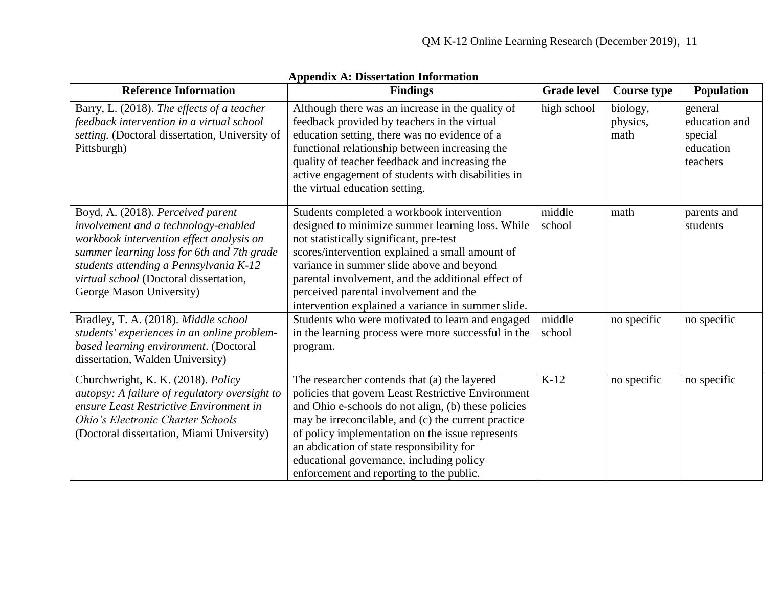| <b>Reference Information</b>                                                                                                                                                                                                                                                        | <b>Findings</b>                                                                                                                                                                                                                                                                                                                                                                                           | <b>Grade level</b> | <b>Course type</b>           | Population                                                   |
|-------------------------------------------------------------------------------------------------------------------------------------------------------------------------------------------------------------------------------------------------------------------------------------|-----------------------------------------------------------------------------------------------------------------------------------------------------------------------------------------------------------------------------------------------------------------------------------------------------------------------------------------------------------------------------------------------------------|--------------------|------------------------------|--------------------------------------------------------------|
| Barry, L. (2018). The effects of a teacher<br>feedback intervention in a virtual school<br>setting. (Doctoral dissertation, University of<br>Pittsburgh)                                                                                                                            | Although there was an increase in the quality of<br>feedback provided by teachers in the virtual<br>education setting, there was no evidence of a<br>functional relationship between increasing the<br>quality of teacher feedback and increasing the<br>active engagement of students with disabilities in<br>the virtual education setting.                                                             | high school        | biology,<br>physics,<br>math | general<br>education and<br>special<br>education<br>teachers |
| Boyd, A. (2018). Perceived parent<br>involvement and a technology-enabled<br>workbook intervention effect analysis on<br>summer learning loss for 6th and 7th grade<br>students attending a Pennsylvania K-12<br>virtual school (Doctoral dissertation,<br>George Mason University) | Students completed a workbook intervention<br>designed to minimize summer learning loss. While<br>not statistically significant, pre-test<br>scores/intervention explained a small amount of<br>variance in summer slide above and beyond<br>parental involvement, and the additional effect of<br>perceived parental involvement and the<br>intervention explained a variance in summer slide.           | middle<br>school   | math                         | parents and<br>students                                      |
| Bradley, T. A. (2018). Middle school<br>students' experiences in an online problem-<br>based learning environment. (Doctoral<br>dissertation, Walden University)                                                                                                                    | Students who were motivated to learn and engaged<br>in the learning process were more successful in the<br>program.                                                                                                                                                                                                                                                                                       | middle<br>school   | no specific                  | no specific                                                  |
| Churchwright, K. K. (2018). Policy<br>autopsy: A failure of regulatory oversight to<br>ensure Least Restrictive Environment in<br>Ohio's Electronic Charter Schools<br>(Doctoral dissertation, Miami University)                                                                    | The researcher contends that (a) the layered<br>policies that govern Least Restrictive Environment<br>and Ohio e-schools do not align, (b) these policies<br>may be irreconcilable, and (c) the current practice<br>of policy implementation on the issue represents<br>an abdication of state responsibility for<br>educational governance, including policy<br>enforcement and reporting to the public. | $K-12$             | no specific                  | no specific                                                  |

## **Appendix A: Dissertation Information**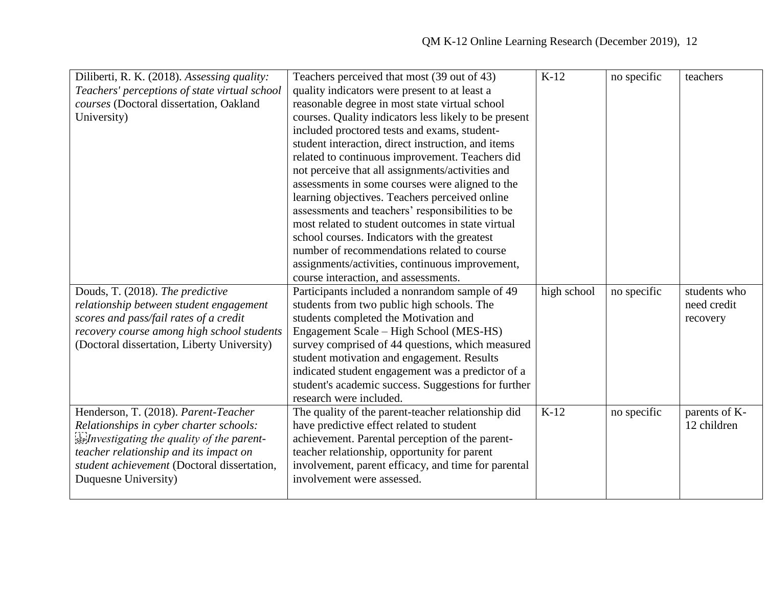| Diliberti, R. K. (2018). Assessing quality:   | Teachers perceived that most (39 out of 43)           | $K-12$      | no specific | teachers      |
|-----------------------------------------------|-------------------------------------------------------|-------------|-------------|---------------|
| Teachers' perceptions of state virtual school | quality indicators were present to at least a         |             |             |               |
| courses (Doctoral dissertation, Oakland       | reasonable degree in most state virtual school        |             |             |               |
| University)                                   | courses. Quality indicators less likely to be present |             |             |               |
|                                               | included proctored tests and exams, student-          |             |             |               |
|                                               | student interaction, direct instruction, and items    |             |             |               |
|                                               | related to continuous improvement. Teachers did       |             |             |               |
|                                               | not perceive that all assignments/activities and      |             |             |               |
|                                               | assessments in some courses were aligned to the       |             |             |               |
|                                               | learning objectives. Teachers perceived online        |             |             |               |
|                                               | assessments and teachers' responsibilities to be      |             |             |               |
|                                               | most related to student outcomes in state virtual     |             |             |               |
|                                               | school courses. Indicators with the greatest          |             |             |               |
|                                               | number of recommendations related to course           |             |             |               |
|                                               | assignments/activities, continuous improvement,       |             |             |               |
|                                               | course interaction, and assessments.                  |             |             |               |
| Douds, T. (2018). The predictive              | Participants included a nonrandom sample of 49        | high school | no specific | students who  |
| relationship between student engagement       | students from two public high schools. The            |             |             | need credit   |
| scores and pass/fail rates of a credit        | students completed the Motivation and                 |             |             | recovery      |
| recovery course among high school students    | Engagement Scale – High School (MES-HS)               |             |             |               |
| (Doctoral dissertation, Liberty University)   | survey comprised of 44 questions, which measured      |             |             |               |
|                                               | student motivation and engagement. Results            |             |             |               |
|                                               | indicated student engagement was a predictor of a     |             |             |               |
|                                               | student's academic success. Suggestions for further   |             |             |               |
|                                               | research were included.                               |             |             |               |
| Henderson, T. (2018). Parent-Teacher          | The quality of the parent-teacher relationship did    | $K-12$      | no specific | parents of K- |
| Relationships in cyber charter schools:       | have predictive effect related to student             |             |             | 12 children   |
| see Investigating the quality of the parent-  | achievement. Parental perception of the parent-       |             |             |               |
| teacher relationship and its impact on        | teacher relationship, opportunity for parent          |             |             |               |
| student achievement (Doctoral dissertation,   | involvement, parent efficacy, and time for parental   |             |             |               |
| Duquesne University)                          | involvement were assessed.                            |             |             |               |
|                                               |                                                       |             |             |               |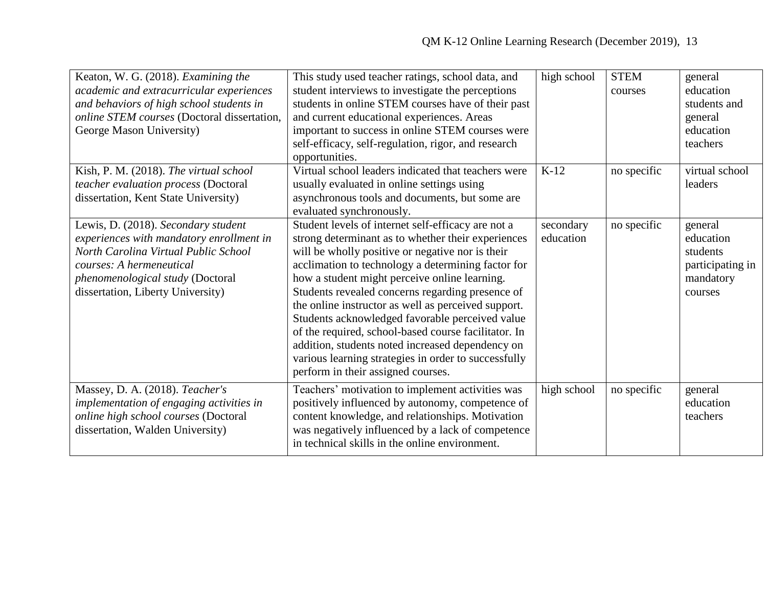| Keaton, W. G. (2018). Examining the<br>academic and extracurricular experiences<br>and behaviors of high school students in<br>online STEM courses (Doctoral dissertation,<br>George Mason University)                       | This study used teacher ratings, school data, and<br>student interviews to investigate the perceptions<br>students in online STEM courses have of their past<br>and current educational experiences. Areas<br>important to success in online STEM courses were<br>self-efficacy, self-regulation, rigor, and research<br>opportunities.                                                                                                                                                                                                                                                                                                     | high school            | <b>STEM</b><br>courses | general<br>education<br>students and<br>general<br>education<br>teachers     |
|------------------------------------------------------------------------------------------------------------------------------------------------------------------------------------------------------------------------------|---------------------------------------------------------------------------------------------------------------------------------------------------------------------------------------------------------------------------------------------------------------------------------------------------------------------------------------------------------------------------------------------------------------------------------------------------------------------------------------------------------------------------------------------------------------------------------------------------------------------------------------------|------------------------|------------------------|------------------------------------------------------------------------------|
| Kish, P. M. (2018). The virtual school<br>teacher evaluation process (Doctoral<br>dissertation, Kent State University)                                                                                                       | Virtual school leaders indicated that teachers were<br>usually evaluated in online settings using<br>asynchronous tools and documents, but some are<br>evaluated synchronously.                                                                                                                                                                                                                                                                                                                                                                                                                                                             | $K-12$                 | no specific            | virtual school<br>leaders                                                    |
| Lewis, D. (2018). Secondary student<br>experiences with mandatory enrollment in<br>North Carolina Virtual Public School<br>courses: A hermeneutical<br>phenomenological study (Doctoral<br>dissertation, Liberty University) | Student levels of internet self-efficacy are not a<br>strong determinant as to whether their experiences<br>will be wholly positive or negative nor is their<br>acclimation to technology a determining factor for<br>how a student might perceive online learning.<br>Students revealed concerns regarding presence of<br>the online instructor as well as perceived support.<br>Students acknowledged favorable perceived value<br>of the required, school-based course facilitator. In<br>addition, students noted increased dependency on<br>various learning strategies in order to successfully<br>perform in their assigned courses. | secondary<br>education | no specific            | general<br>education<br>students<br>participating in<br>mandatory<br>courses |
| Massey, D. A. (2018). Teacher's<br>implementation of engaging activities in<br>online high school courses (Doctoral<br>dissertation, Walden University)                                                                      | Teachers' motivation to implement activities was<br>positively influenced by autonomy, competence of<br>content knowledge, and relationships. Motivation<br>was negatively influenced by a lack of competence<br>in technical skills in the online environment.                                                                                                                                                                                                                                                                                                                                                                             | high school            | no specific            | general<br>education<br>teachers                                             |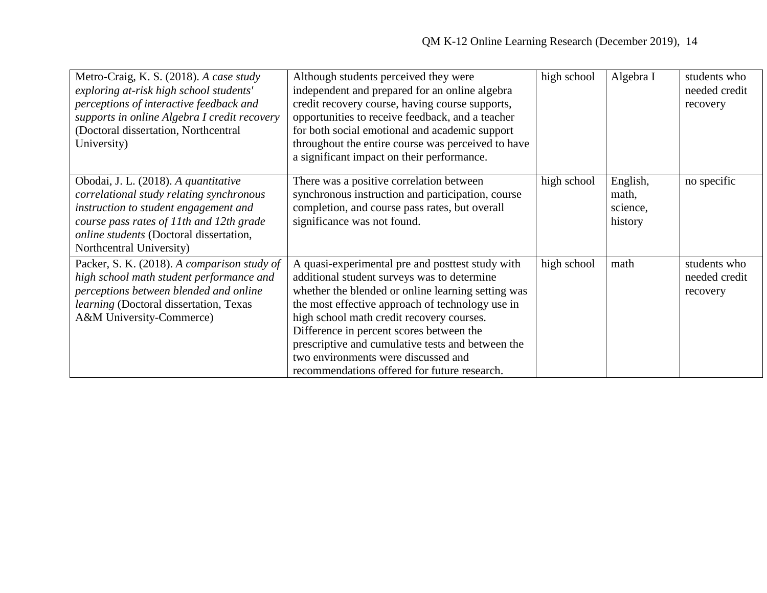| Metro-Craig, K. S. (2018). A case study<br>exploring at-risk high school students'<br>perceptions of interactive feedback and<br>supports in online Algebra I credit recovery<br>(Doctoral dissertation, Northcentral<br>University)         | Although students perceived they were<br>independent and prepared for an online algebra<br>credit recovery course, having course supports,<br>opportunities to receive feedback, and a teacher<br>for both social emotional and academic support<br>throughout the entire course was perceived to have<br>a significant impact on their performance.                                                                                           | high school | Algebra I                                | students who<br>needed credit<br>recovery |
|----------------------------------------------------------------------------------------------------------------------------------------------------------------------------------------------------------------------------------------------|------------------------------------------------------------------------------------------------------------------------------------------------------------------------------------------------------------------------------------------------------------------------------------------------------------------------------------------------------------------------------------------------------------------------------------------------|-------------|------------------------------------------|-------------------------------------------|
| Obodai, J. L. (2018). A quantitative<br>correlational study relating synchronous<br>instruction to student engagement and<br>course pass rates of 11th and 12th grade<br>online students (Doctoral dissertation,<br>Northcentral University) | There was a positive correlation between<br>synchronous instruction and participation, course<br>completion, and course pass rates, but overall<br>significance was not found.                                                                                                                                                                                                                                                                 | high school | English,<br>math,<br>science,<br>history | no specific                               |
| Packer, S. K. (2018). A comparison study of<br>high school math student performance and<br>perceptions between blended and online<br>learning (Doctoral dissertation, Texas<br>A&M University-Commerce)                                      | A quasi-experimental pre and posttest study with<br>additional student surveys was to determine<br>whether the blended or online learning setting was<br>the most effective approach of technology use in<br>high school math credit recovery courses.<br>Difference in percent scores between the<br>prescriptive and cumulative tests and between the<br>two environments were discussed and<br>recommendations offered for future research. | high school | math                                     | students who<br>needed credit<br>recovery |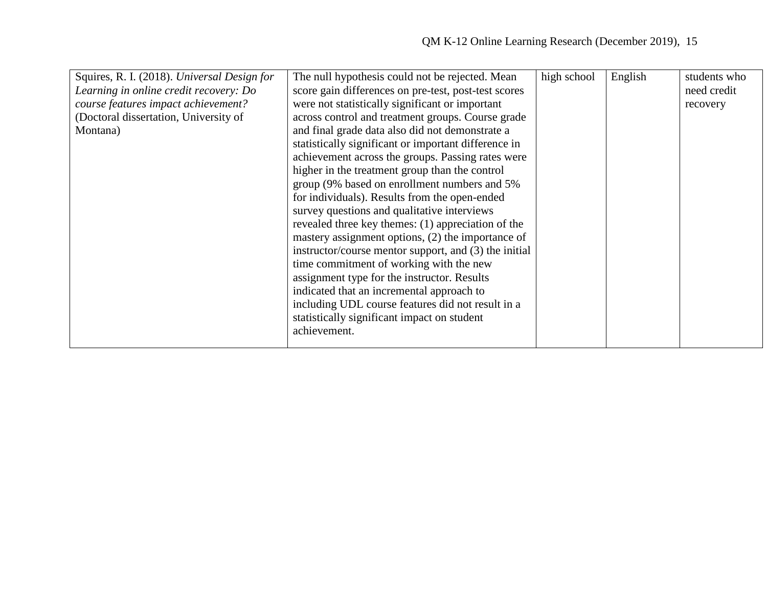| Squires, R. I. (2018). Universal Design for | The null hypothesis could not be rejected. Mean       | high school | English | students who |
|---------------------------------------------|-------------------------------------------------------|-------------|---------|--------------|
| Learning in online credit recovery: Do      | score gain differences on pre-test, post-test scores  |             |         | need credit  |
| course features impact achievement?         | were not statistically significant or important       |             |         | recovery     |
| (Doctoral dissertation, University of       | across control and treatment groups. Course grade     |             |         |              |
| Montana)                                    | and final grade data also did not demonstrate a       |             |         |              |
|                                             | statistically significant or important difference in  |             |         |              |
|                                             | achievement across the groups. Passing rates were     |             |         |              |
|                                             | higher in the treatment group than the control        |             |         |              |
|                                             | group (9% based on enrollment numbers and 5%)         |             |         |              |
|                                             | for individuals). Results from the open-ended         |             |         |              |
|                                             | survey questions and qualitative interviews           |             |         |              |
|                                             | revealed three key themes: (1) appreciation of the    |             |         |              |
|                                             | mastery assignment options, (2) the importance of     |             |         |              |
|                                             | instructor/course mentor support, and (3) the initial |             |         |              |
|                                             | time commitment of working with the new               |             |         |              |
|                                             | assignment type for the instructor. Results           |             |         |              |
|                                             | indicated that an incremental approach to             |             |         |              |
|                                             | including UDL course features did not result in a     |             |         |              |
|                                             | statistically significant impact on student           |             |         |              |
|                                             | achievement.                                          |             |         |              |
|                                             |                                                       |             |         |              |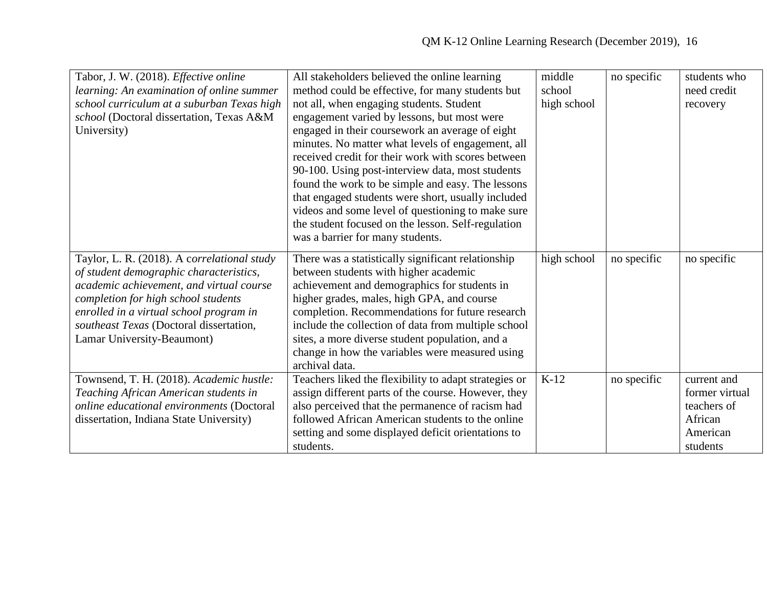| Tabor, J. W. (2018). Effective online<br>learning: An examination of online summer<br>school curriculum at a suburban Texas high<br>school (Doctoral dissertation, Texas A&M<br>University)                                                                                                   | All stakeholders believed the online learning<br>method could be effective, for many students but<br>not all, when engaging students. Student<br>engagement varied by lessons, but most were<br>engaged in their coursework an average of eight<br>minutes. No matter what levels of engagement, all<br>received credit for their work with scores between<br>90-100. Using post-interview data, most students<br>found the work to be simple and easy. The lessons<br>that engaged students were short, usually included<br>videos and some level of questioning to make sure<br>the student focused on the lesson. Self-regulation | middle<br>school<br>high school | no specific | students who<br>need credit<br>recovery                                         |
|-----------------------------------------------------------------------------------------------------------------------------------------------------------------------------------------------------------------------------------------------------------------------------------------------|--------------------------------------------------------------------------------------------------------------------------------------------------------------------------------------------------------------------------------------------------------------------------------------------------------------------------------------------------------------------------------------------------------------------------------------------------------------------------------------------------------------------------------------------------------------------------------------------------------------------------------------|---------------------------------|-------------|---------------------------------------------------------------------------------|
| Taylor, L. R. (2018). A correlational study<br>of student demographic characteristics,<br>academic achievement, and virtual course<br>completion for high school students<br>enrolled in a virtual school program in<br>southeast Texas (Doctoral dissertation,<br>Lamar University-Beaumont) | was a barrier for many students.<br>There was a statistically significant relationship<br>between students with higher academic<br>achievement and demographics for students in<br>higher grades, males, high GPA, and course<br>completion. Recommendations for future research<br>include the collection of data from multiple school<br>sites, a more diverse student population, and a<br>change in how the variables were measured using<br>archival data.                                                                                                                                                                      | high school                     | no specific | no specific                                                                     |
| Townsend, T. H. (2018). Academic hustle:<br>Teaching African American students in<br>online educational environments (Doctoral<br>dissertation, Indiana State University)                                                                                                                     | Teachers liked the flexibility to adapt strategies or<br>assign different parts of the course. However, they<br>also perceived that the permanence of racism had<br>followed African American students to the online<br>setting and some displayed deficit orientations to<br>students.                                                                                                                                                                                                                                                                                                                                              | $K-12$                          | no specific | current and<br>former virtual<br>teachers of<br>African<br>American<br>students |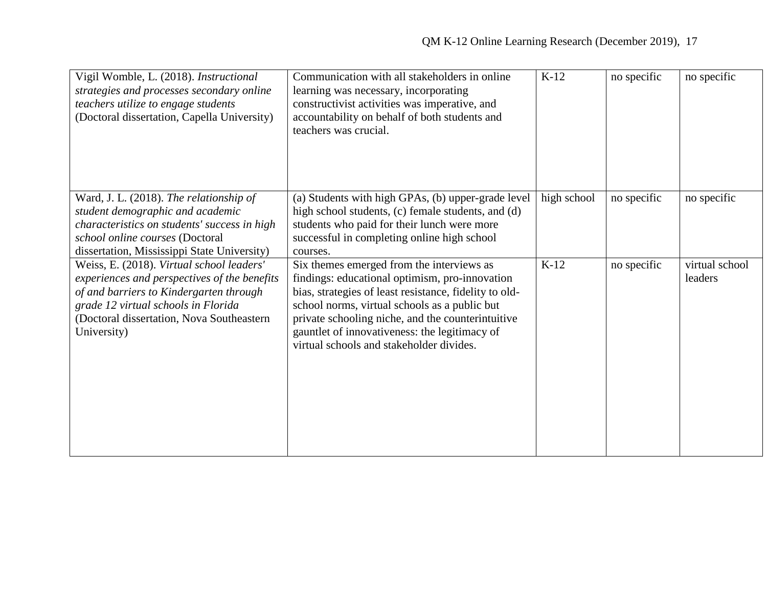| Vigil Womble, L. (2018). Instructional<br>strategies and processes secondary online<br>teachers utilize to engage students<br>(Doctoral dissertation, Capella University)                                                               | Communication with all stakeholders in online<br>learning was necessary, incorporating<br>constructivist activities was imperative, and<br>accountability on behalf of both students and<br>teachers was crucial.                                                                                                                                        | $K-12$      | no specific | no specific               |
|-----------------------------------------------------------------------------------------------------------------------------------------------------------------------------------------------------------------------------------------|----------------------------------------------------------------------------------------------------------------------------------------------------------------------------------------------------------------------------------------------------------------------------------------------------------------------------------------------------------|-------------|-------------|---------------------------|
| Ward, J. L. (2018). The relationship of<br>student demographic and academic<br>characteristics on students' success in high<br>school online courses (Doctoral<br>dissertation, Mississippi State University)                           | (a) Students with high GPAs, (b) upper-grade level<br>high school students, (c) female students, and (d)<br>students who paid for their lunch were more<br>successful in completing online high school<br>courses.                                                                                                                                       | high school | no specific | no specific               |
| Weiss, E. (2018). Virtual school leaders'<br>experiences and perspectives of the benefits<br>of and barriers to Kindergarten through<br>grade 12 virtual schools in Florida<br>(Doctoral dissertation, Nova Southeastern<br>University) | Six themes emerged from the interviews as<br>findings: educational optimism, pro-innovation<br>bias, strategies of least resistance, fidelity to old-<br>school norms, virtual schools as a public but<br>private schooling niche, and the counterintuitive<br>gauntlet of innovativeness: the legitimacy of<br>virtual schools and stakeholder divides. | $K-12$      | no specific | virtual school<br>leaders |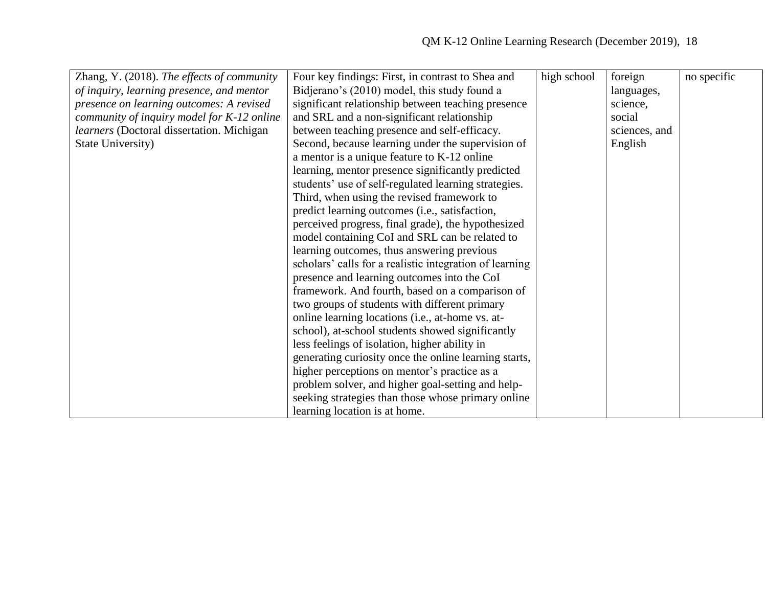| Zhang, Y. (2018). The effects of community | Four key findings: First, in contrast to Shea and       | high school | foreign       | no specific |
|--------------------------------------------|---------------------------------------------------------|-------------|---------------|-------------|
| of inquiry, learning presence, and mentor  | Bidjerano's (2010) model, this study found a            |             | languages,    |             |
| presence on learning outcomes: A revised   | significant relationship between teaching presence      |             | science,      |             |
| community of inquiry model for K-12 online | and SRL and a non-significant relationship              |             | social        |             |
| learners (Doctoral dissertation. Michigan  | between teaching presence and self-efficacy.            |             | sciences, and |             |
| State University)                          | Second, because learning under the supervision of       |             | English       |             |
|                                            | a mentor is a unique feature to K-12 online             |             |               |             |
|                                            | learning, mentor presence significantly predicted       |             |               |             |
|                                            | students' use of self-regulated learning strategies.    |             |               |             |
|                                            | Third, when using the revised framework to              |             |               |             |
|                                            | predict learning outcomes (i.e., satisfaction,          |             |               |             |
|                                            | perceived progress, final grade), the hypothesized      |             |               |             |
|                                            | model containing CoI and SRL can be related to          |             |               |             |
|                                            | learning outcomes, thus answering previous              |             |               |             |
|                                            | scholars' calls for a realistic integration of learning |             |               |             |
|                                            | presence and learning outcomes into the CoI             |             |               |             |
|                                            | framework. And fourth, based on a comparison of         |             |               |             |
|                                            | two groups of students with different primary           |             |               |             |
|                                            | online learning locations (i.e., at-home vs. at-        |             |               |             |
|                                            | school), at-school students showed significantly        |             |               |             |
|                                            | less feelings of isolation, higher ability in           |             |               |             |
|                                            | generating curiosity once the online learning starts,   |             |               |             |
|                                            | higher perceptions on mentor's practice as a            |             |               |             |
|                                            | problem solver, and higher goal-setting and help-       |             |               |             |
|                                            | seeking strategies than those whose primary online      |             |               |             |
|                                            | learning location is at home.                           |             |               |             |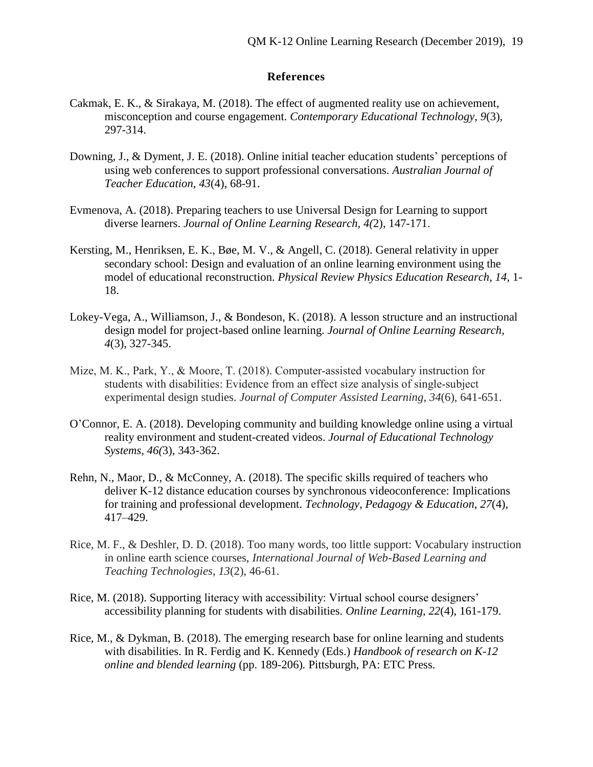## **References**

- Cakmak, E. K., & Sirakaya, M. (2018). The effect of augmented reality use on achievement, misconception and course engagement. *Contemporary Educational Technology, 9*(3), 297-314.
- Downing, J., & Dyment, J. E. (2018). Online initial teacher education students' perceptions of using web conferences to support professional conversations. *Australian Journal of Teacher Education, 43*(4), 68-91.
- Evmenova, A. (2018). Preparing teachers to use Universal Design for Learning to support diverse learners. *Journal of Online Learning Research, 4(*2), 147-171.
- Kersting, M., Henriksen, E. K., Bøe, M. V., & Angell, C. (2018). General relativity in upper secondary school: Design and evaluation of an online learning environment using the model of educational reconstruction. *Physical Review Physics Education Research, 14,* 1- 18.
- Lokey-Vega, A., Williamson, J., & Bondeson, K. (2018). A lesson structure and an instructional design model for project-based online learning. *Journal of Online Learning Research, 4*(3), 327-345.
- Mize, M. K., Park, Y., & Moore, T. (2018). Computer‐assisted vocabulary instruction for students with disabilities: Evidence from an effect size analysis of single‐subject experimental design studies. *Journal of Computer Assisted Learning*, *34*(6), 641-651.
- O'Connor, E. A. (2018). Developing community and building knowledge online using a virtual reality environment and student-created videos. *Journal of Educational Technology Systems, 46(*3), 343-362.
- Rehn, N., Maor, D., & McConney, A. (2018). The specific skills required of teachers who deliver K-12 distance education courses by synchronous videoconference: Implications for training and professional development. *Technology, Pedagogy & Education, 27*(4), 417–429.
- Rice, M. F., & Deshler, D. D. (2018). Too many words, too little support: Vocabulary instruction in online earth science courses, *International Journal of Web-Based Learning and Teaching Technologies*, *13*(2), 46-61.
- Rice, M. (2018). Supporting literacy with accessibility: Virtual school course designers' accessibility planning for students with disabilities. *Online Learning, 22*(4), 161-179.
- Rice, M., & Dykman, B. (2018). The emerging research base for online learning and students with disabilities. In R. Ferdig and K. Kennedy (Eds.) *Handbook of research on K-12 online and blended learning* (pp. 189-206)*.* Pittsburgh, PA: ETC Press.